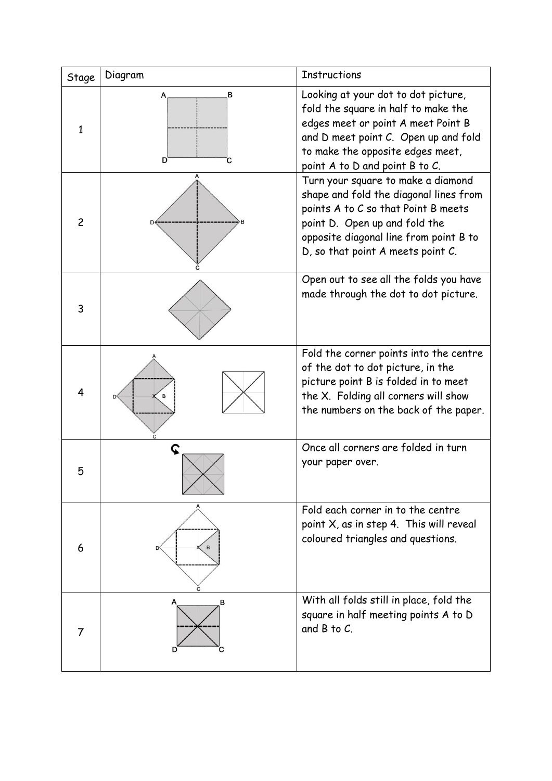| Stage          | Diagram     | <b>Instructions</b>                                                                                                                                                                                                                 |
|----------------|-------------|-------------------------------------------------------------------------------------------------------------------------------------------------------------------------------------------------------------------------------------|
| $\mathbf{1}$   | в<br>D<br>с | Looking at your dot to dot picture,<br>fold the square in half to make the<br>edges meet or point A meet Point B<br>and D meet point C. Open up and fold<br>to make the opposite edges meet,<br>point A to D and point B to C.      |
| $\overline{c}$ |             | Turn your square to make a diamond<br>shape and fold the diagonal lines from<br>points A to C so that Point B meets<br>point D. Open up and fold the<br>opposite diagonal line from point B to<br>D, so that point A meets point C. |
| 3              |             | Open out to see all the folds you have<br>made through the dot to dot picture.                                                                                                                                                      |
| $\overline{4}$ | с           | Fold the corner points into the centre<br>of the dot to dot picture, in the<br>picture point B is folded in to meet<br>the X. Folding all corners will show<br>the numbers on the back of the paper.                                |
| 5              | C           | Once all corners are folded in turn<br>your paper over.                                                                                                                                                                             |
| 6              |             | Fold each corner in to the centre<br>point $X$ , as in step 4. This will reveal<br>coloured triangles and questions.                                                                                                                |
| 7              | в           | With all folds still in place, fold the<br>square in half meeting points A to D<br>and $B$ to $C$ .                                                                                                                                 |